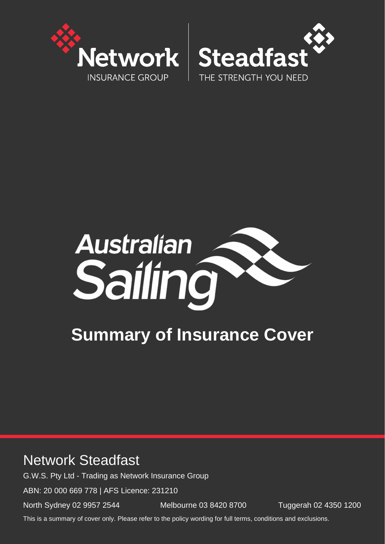





# **Summary of Insurance Cover**

## Network Steadfast

G.W.S. Pty Ltd - Trading as Network Insurance Group

ABN: 20 000 669 778 | AFS Licence: 231210

North Sydney 02 9957 2544 Melbourne 03 8420 8700 Tuggerah 02 4350 1200

This is a summary of cover only. Please refer to the policy wording for full terms, conditions and exclusions.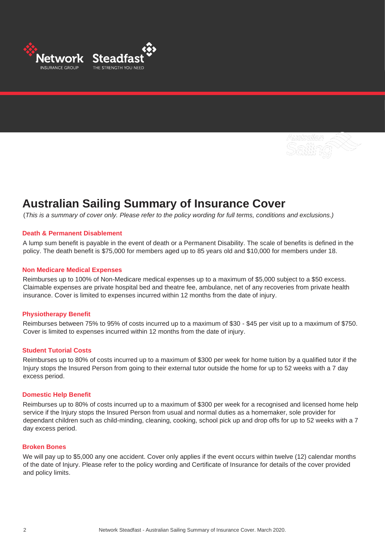

### **Australian Sailing Summary of Insurance Cover**

(*This is a summary of cover only. Please refer to the policy wording for full terms, conditions and exclusions.)*

#### **Death & Permanent Disablement**

A lump sum benefit is payable in the event of death or a Permanent Disability. The scale of benefits is defined in the policy. The death benefit is \$75,000 for members aged up to 85 years old and \$10,000 for members under 18.

#### **Non Medicare Medical Expenses**

Reimburses up to 100% of Non-Medicare medical expenses up to a maximum of \$5,000 subject to a \$50 excess. Claimable expenses are private hospital bed and theatre fee, ambulance, net of any recoveries from private health insurance. Cover is limited to expenses incurred within 12 months from the date of injury.

#### **Physiotherapy Benefit**

Reimburses between 75% to 95% of costs incurred up to a maximum of \$30 - \$45 per visit up to a maximum of \$750. Cover is limited to expenses incurred within 12 months from the date of injury.

#### **Student Tutorial Costs**

Reimburses up to 80% of costs incurred up to a maximum of \$300 per week for home tuition by a qualified tutor if the Injury stops the Insured Person from going to their external tutor outside the home for up to 52 weeks with a 7 day excess period.

#### **Domestic Help Benefit**

Reimburses up to 80% of costs incurred up to a maximum of \$300 per week for a recognised and licensed home help service if the Injury stops the Insured Person from usual and normal duties as a homemaker, sole provider for dependant children such as child-minding, cleaning, cooking, school pick up and drop offs for up to 52 weeks with a 7 day excess period.

#### **Broken Bones**

We will pay up to \$5,000 any one accident. Cover only applies if the event occurs within twelve (12) calendar months of the date of Injury. Please refer to the policy wording and Certificate of Insurance for details of the cover provided and policy limits.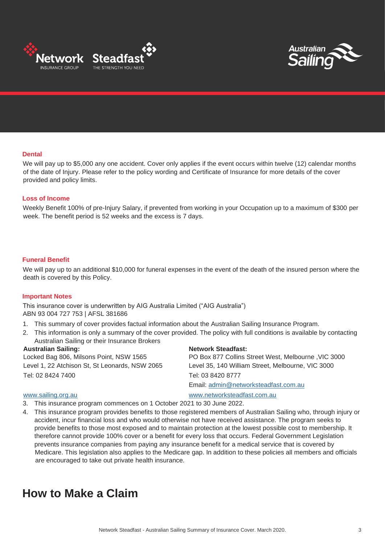



#### **Dental**

We will pay up to \$5,000 any one accident. Cover only applies if the event occurs within twelve (12) calendar months of the date of Injury. Please refer to the policy wording and Certificate of Insurance for more details of the cover provided and policy limits.

#### **Loss of Income**

Weekly Benefit 100% of pre-Injury Salary, if prevented from working in your Occupation up to a maximum of \$300 per week. The benefit period is 52 weeks and the excess is 7 days.

#### **Funeral Benefit**

We will pay up to an additional \$10,000 for funeral expenses in the event of the death of the insured person where the death is covered by this Policy.

#### **Important Notes**

This insurance cover is underwritten by AIG Australia Limited ("AIG Australia") ABN 93 004 727 753 | AFSL 381686

- 1. This summary of cover provides factual information about the Australian Sailing Insurance Program.
- 2. This information is only a summary of the cover provided. The policy with full conditions is available by contacting Australian Sailing or their Insurance Brokers

Tel: 02 8424 7400 Tel: 03 8420 8777

#### Australian Sailing: Network Steadfast:

Locked Bag 806, Milsons Point, NSW 1565 PO Box 877 Collins Street West, Melbourne ,VIC 3000 Level 1, 22 Atchison St, St Leonards, NSW 2065 Level 35, 140 William Street, Melbourne, VIC 3000 Email: admin@networksteadfast.com.au

#### [www.sailing.org.au](http://www.sailing.org.au/) [www.networksteadfast.com.au](http://www.networksteadfast.com.au/)

- 3. This insurance program commences on 1 October 2021 to 30 June 2022.
- 4. This insurance program provides benefits to those registered members of Australian Sailing who, through injury or accident, incur financial loss and who would otherwise not have received assistance. The program seeks to provide benefits to those most exposed and to maintain protection at the lowest possible cost to membership. It therefore cannot provide 100% cover or a benefit for every loss that occurs. Federal Government Legislation prevents insurance companies from paying any insurance benefit for a medical service that is covered by Medicare. This legislation also applies to the Medicare gap. In addition to these policies all members and officials are encouraged to take out private health insurance.

### **How to Make a Claim**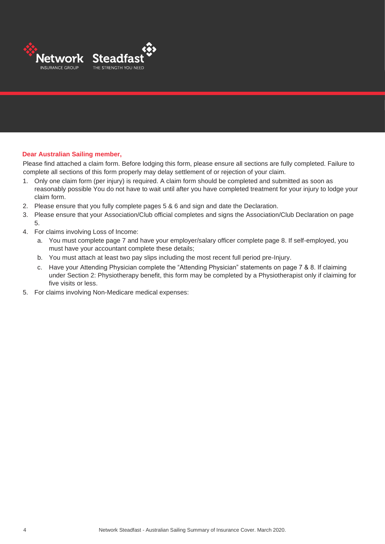

#### **Dear Australian Sailing member,**

Please find attached a claim form. Before lodging this form, please ensure all sections are fully completed. Failure to complete all sections of this form properly may delay settlement of or rejection of your claim.

- 1. Only one claim form (per injury) is required. A claim form should be completed and submitted as soon as reasonably possible You do not have to wait until after you have completed treatment for your injury to lodge your claim form.
- 2. Please ensure that you fully complete pages 5 & 6 and sign and date the Declaration.
- 3. Please ensure that your Association/Club official completes and signs the Association/Club Declaration on page 5.
- 4. For claims involving Loss of Income:
	- a. You must complete page 7 and have your employer/salary officer complete page 8. If self-employed, you must have your accountant complete these details;
	- b. You must attach at least two pay slips including the most recent full period pre-Injury.
	- c. Have your Attending Physician complete the "Attending Physician" statements on page 7 & 8. If claiming under Section 2: Physiotherapy benefit, this form may be completed by a Physiotherapist only if claiming for five visits or less.
- 5. For claims involving Non-Medicare medical expenses: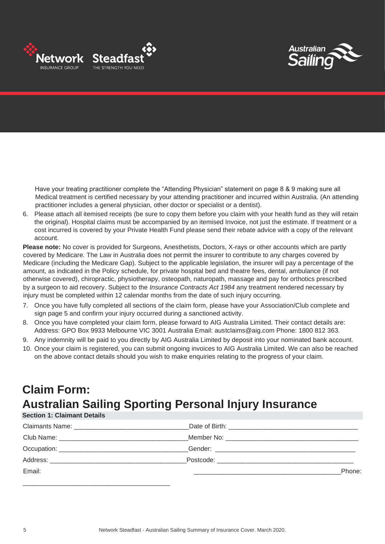



Have your treating practitioner complete the "Attending Physician" statement on page 8 & 9 making sure all Medical treatment is certified necessary by your attending practitioner and incurred within Australia. (An attending practitioner includes a general physician, other doctor or specialist or a dentist).

6. Please attach all itemised receipts (be sure to copy them before you claim with your health fund as they will retain the original). Hospital claims must be accompanied by an itemised Invoice, not just the estimate. If treatment or a cost incurred is covered by your Private Health Fund please send their rebate advice with a copy of the relevant account.

**Please note:** No cover is provided for Surgeons, Anesthetists, Doctors, X-rays or other accounts which are partly covered by Medicare. The Law in Australia does not permit the insurer to contribute to any charges covered by Medicare (including the Medicare Gap). Subject to the applicable legislation, the insurer will pay a percentage of the amount, as indicated in the Policy schedule, for private hospital bed and theatre fees, dental, ambulance (if not otherwise covered), chiropractic, physiotherapy, osteopath, naturopath, massage and pay for orthotics prescribed by a surgeon to aid recovery. Subject to the *Insurance Contracts Act 1984* any treatment rendered necessary by injury must be completed within 12 calendar months from the date of such injury occurring.

- 7. Once you have fully completed all sections of the claim form, please have your Association/Club complete and sign page 5 and confirm your injury occurred during a sanctioned activity.
- 8. Once you have completed your claim form, please forward to AIG Australia Limited. Their contact details are: Address: GPO Box 9933 Melbourne VIC 3001 Australia Email: austclaims@aig.com Phone: 1800 812 363.
- 9. Any indemnity will be paid to you directly by AIG Australia Limited by deposit into your nominated bank account.
- 10. Once your claim is registered, you can submit ongoing invoices to AIG Australia Limited. We can also be reached on the above contact details should you wish to make enquiries relating to the progress of your claim.

## **Claim Form: Australian Sailing Sporting Personal Injury Insurance**

### **Section 1: Claimant Details**

| Email: | Phone: |
|--------|--------|
|        |        |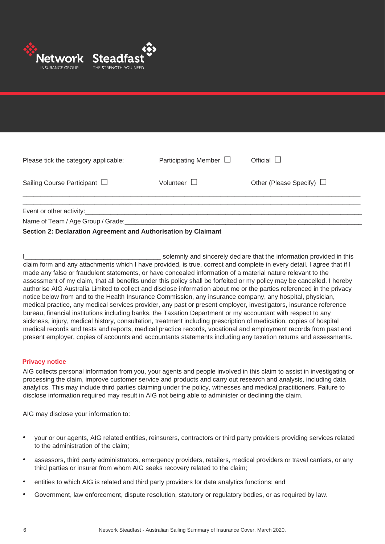

| Please tick the category applicable:                                       | Participating Member $\Box$ | Official $\Box$               |
|----------------------------------------------------------------------------|-----------------------------|-------------------------------|
| Sailing Course Participant $\Box$                                          | Volunteer $\Box$            | Other (Please Specify) $\Box$ |
| Event or other activity:_____________<br>Name of Team / Age Group / Grade: |                             |                               |

#### **Section 2: Declaration Agreement and Authorisation by Claimant**

| solemnly and sincerely declare that the information provided in this                                                   |
|------------------------------------------------------------------------------------------------------------------------|
| claim form and any attachments which I have provided, is true, correct and complete in every detail. I agree that if I |
| made any false or fraudulent statements, or have concealed information of a material nature relevant to the            |
| assessment of my claim, that all benefits under this policy shall be forfeited or my policy may be cancelled. I hereby |
| authorise AIG Australia Limited to collect and disclose information about me or the parties referenced in the privacy  |
| notice below from and to the Health Insurance Commission, any insurance company, any hospital, physician,              |
| medical practice, any medical services provider, any past or present employer, investigators, insurance reference      |
| bureau, financial institutions including banks, the Taxation Department or my accountant with respect to any           |
| sickness, injury, medical history, consultation, treatment including prescription of medication, copies of hospital    |
| medical records and tests and reports, medical practice records, vocational and employment records from past and       |
| present employer, copies of accounts and accountants statements including any taxation returns and assessments.        |

#### **Privacy notice**

AIG collects personal information from you, your agents and people involved in this claim to assist in investigating or processing the claim, improve customer service and products and carry out research and analysis, including data analytics. This may include third parties claiming under the policy, witnesses and medical practitioners. Failure to disclose information required may result in AIG not being able to administer or declining the claim.

AIG may disclose your information to:

- your or our agents, AIG related entities, reinsurers, contractors or third party providers providing services related to the administration of the claim;
- assessors, third party administrators, emergency providers, retailers, medical providers or travel carriers, or any third parties or insurer from whom AIG seeks recovery related to the claim;
- entities to which AIG is related and third party providers for data analytics functions; and
- Government, law enforcement, dispute resolution, statutory or regulatory bodies, or as required by law.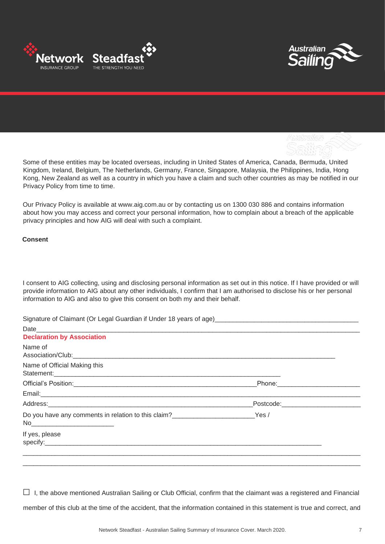



Some of these entities may be located overseas, including in United States of America, Canada, Bermuda, United Kingdom, Ireland, Belgium, The Netherlands, Germany, France, Singapore, Malaysia, the Philippines, India, Hong Kong, New Zealand as well as a country in which you have a claim and such other countries as may be notified in our Privacy Policy from time to time.

Our Privacy Policy is available at www.aig.com.au or by contacting us on 1300 030 886 and contains information about how you may access and correct your personal information, how to complain about a breach of the applicable privacy principles and how AIG will deal with such a complaint.

**Consent**

I consent to AIG collecting, using and disclosing personal information as set out in this notice. If I have provided or will provide information to AIG about any other individuals, I confirm that I am authorised to disclose his or her personal information to AIG and also to give this consent on both my and their behalf.

Signature of Claimant (Or Legal Guardian if Under 18 years of age)

| <b>Declaration by Association</b>                                                                                                                                                                                                                |                                      |  |
|--------------------------------------------------------------------------------------------------------------------------------------------------------------------------------------------------------------------------------------------------|--------------------------------------|--|
| Name of                                                                                                                                                                                                                                          |                                      |  |
| Name of Official Making this                                                                                                                                                                                                                     |                                      |  |
|                                                                                                                                                                                                                                                  |                                      |  |
|                                                                                                                                                                                                                                                  |                                      |  |
|                                                                                                                                                                                                                                                  | _Postcode:__________________________ |  |
| Do you have any comments in relation to this claim?<br>No____________________________                                                                                                                                                            | Yes/                                 |  |
| If yes, please<br>specify: the contract of the contract of the contract of the contract of the contract of the contract of the contract of the contract of the contract of the contract of the contract of the contract of the contract of the c |                                      |  |
|                                                                                                                                                                                                                                                  |                                      |  |

 $\Box$  I, the above mentioned Australian Sailing or Club Official, confirm that the claimant was a registered and Financial member of this club at the time of the accident, that the information contained in this statement is true and correct, and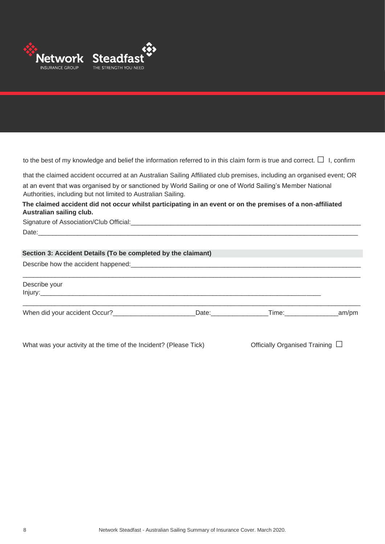

to the best of my knowledge and belief the information referred to in this claim form is true and correct.  $\Box$  I, confirm

that the claimed accident occurred at an Australian Sailing Affiliated club premises, including an organised event; OR

at an event that was organised by or sanctioned by World Sailing or one of World Sailing's Member National Authorities, including but not limited to Australian Sailing.

#### **The claimed accident did not occur whilst participating in an event or on the premises of a non-affiliated Australian sailing club.**

Signature of Association/Club Official:\_\_\_\_\_\_\_\_\_\_\_\_\_\_\_\_\_\_\_\_\_\_\_\_\_\_\_\_\_\_\_\_\_\_\_\_\_\_\_\_\_\_\_\_\_\_\_\_\_\_\_\_\_\_\_\_\_\_\_\_\_\_\_\_

Date:\_\_\_\_\_\_\_\_\_\_\_\_\_\_\_\_\_\_\_\_\_\_\_\_\_\_\_\_\_\_\_\_\_\_\_\_\_\_\_\_\_\_\_\_\_\_\_\_\_\_\_\_\_\_\_\_\_\_\_\_\_\_\_\_\_\_\_\_\_\_\_\_\_\_\_\_\_\_\_\_\_\_\_\_\_\_\_\_\_

#### **Section 3: Accident Details (To be completed by the claimant)**

Describe how the accident happened:\_\_\_\_\_\_\_\_\_\_\_\_\_\_\_\_\_\_\_\_\_\_\_\_\_\_\_\_\_\_\_\_\_\_\_\_\_\_\_\_\_\_\_\_\_\_\_\_\_\_\_\_\_\_\_\_\_\_\_\_\_\_\_\_

\_\_\_\_\_\_\_\_\_\_\_\_\_\_\_\_\_\_\_\_\_\_\_\_\_\_\_\_\_\_\_\_\_\_\_\_\_\_\_\_\_\_\_\_\_\_\_\_\_\_\_\_\_\_\_\_\_\_\_\_\_\_\_\_\_\_\_\_\_\_\_\_\_\_\_\_\_\_\_\_\_\_\_\_\_\_\_\_\_\_\_\_\_\_ Describe your  $Injury:$ \_\_\_\_\_\_\_\_\_\_\_\_\_\_\_\_\_\_\_\_\_\_\_\_\_\_\_\_\_\_\_\_\_\_\_\_\_\_\_\_\_\_\_\_\_\_\_\_\_\_\_\_\_\_\_\_\_\_\_\_\_\_\_\_\_\_\_\_\_\_\_\_\_\_\_\_\_\_\_\_\_\_\_\_\_\_\_\_\_\_\_\_\_\_

When did your accident Occur? \_\_\_\_\_\_\_\_\_\_\_\_\_\_\_\_\_\_\_\_\_\_\_\_\_\_\_\_\_Date: \_\_\_\_\_\_\_\_\_\_\_\_\_\_\_Time: \_\_\_\_\_\_\_\_\_\_\_\_\_\_\_\_\_\_\_\_am/pm

What was your activity at the time of the Incident? (Please Tick) Officially Organised Training  $\Box$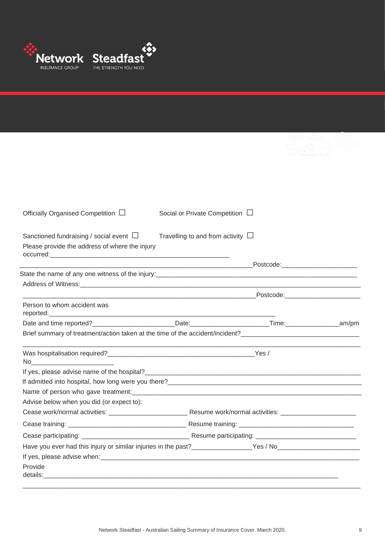

| Officially Organised Competition $\Box$<br>Social or Private Competition $\Box$<br>Sanctioned fundraising / social event $\Box$<br>Travelling to and from activity $\Box$<br>Please provide the address of where the injury<br><u> 1989 - Jan Barnett, mars ann an t-Amerikaansk ferskeider (</u><br>Person to whom accident was<br>reported:<br>Brief summary of treatment/action taken at the time of the accident/incident?<br>If admitted into hospital, how long were you there?<br>The manufactured into hospital, how long were you there?<br>Advise below when you did (or expect to):<br>Have you ever had this injury or similar injuries in the past?<br>The same of the SNN of the SNN of the SNN of the SNN of the SNN of the SNN of the SNN of the SNN of the SNN o |                                     |
|-----------------------------------------------------------------------------------------------------------------------------------------------------------------------------------------------------------------------------------------------------------------------------------------------------------------------------------------------------------------------------------------------------------------------------------------------------------------------------------------------------------------------------------------------------------------------------------------------------------------------------------------------------------------------------------------------------------------------------------------------------------------------------------|-------------------------------------|
|                                                                                                                                                                                                                                                                                                                                                                                                                                                                                                                                                                                                                                                                                                                                                                                   |                                     |
|                                                                                                                                                                                                                                                                                                                                                                                                                                                                                                                                                                                                                                                                                                                                                                                   |                                     |
|                                                                                                                                                                                                                                                                                                                                                                                                                                                                                                                                                                                                                                                                                                                                                                                   |                                     |
|                                                                                                                                                                                                                                                                                                                                                                                                                                                                                                                                                                                                                                                                                                                                                                                   |                                     |
|                                                                                                                                                                                                                                                                                                                                                                                                                                                                                                                                                                                                                                                                                                                                                                                   |                                     |
|                                                                                                                                                                                                                                                                                                                                                                                                                                                                                                                                                                                                                                                                                                                                                                                   |                                     |
|                                                                                                                                                                                                                                                                                                                                                                                                                                                                                                                                                                                                                                                                                                                                                                                   |                                     |
|                                                                                                                                                                                                                                                                                                                                                                                                                                                                                                                                                                                                                                                                                                                                                                                   | Postcode:__________________________ |
|                                                                                                                                                                                                                                                                                                                                                                                                                                                                                                                                                                                                                                                                                                                                                                                   |                                     |
|                                                                                                                                                                                                                                                                                                                                                                                                                                                                                                                                                                                                                                                                                                                                                                                   |                                     |
|                                                                                                                                                                                                                                                                                                                                                                                                                                                                                                                                                                                                                                                                                                                                                                                   |                                     |
|                                                                                                                                                                                                                                                                                                                                                                                                                                                                                                                                                                                                                                                                                                                                                                                   |                                     |
|                                                                                                                                                                                                                                                                                                                                                                                                                                                                                                                                                                                                                                                                                                                                                                                   |                                     |
|                                                                                                                                                                                                                                                                                                                                                                                                                                                                                                                                                                                                                                                                                                                                                                                   |                                     |
|                                                                                                                                                                                                                                                                                                                                                                                                                                                                                                                                                                                                                                                                                                                                                                                   |                                     |
|                                                                                                                                                                                                                                                                                                                                                                                                                                                                                                                                                                                                                                                                                                                                                                                   |                                     |
|                                                                                                                                                                                                                                                                                                                                                                                                                                                                                                                                                                                                                                                                                                                                                                                   |                                     |
|                                                                                                                                                                                                                                                                                                                                                                                                                                                                                                                                                                                                                                                                                                                                                                                   |                                     |
|                                                                                                                                                                                                                                                                                                                                                                                                                                                                                                                                                                                                                                                                                                                                                                                   |                                     |
|                                                                                                                                                                                                                                                                                                                                                                                                                                                                                                                                                                                                                                                                                                                                                                                   |                                     |
|                                                                                                                                                                                                                                                                                                                                                                                                                                                                                                                                                                                                                                                                                                                                                                                   |                                     |
|                                                                                                                                                                                                                                                                                                                                                                                                                                                                                                                                                                                                                                                                                                                                                                                   |                                     |
| Provide                                                                                                                                                                                                                                                                                                                                                                                                                                                                                                                                                                                                                                                                                                                                                                           |                                     |
| details: the contract of the contract of the contract of the contract of the contract of the contract of the contract of the contract of the contract of the contract of the contract of the contract of the contract of the c                                                                                                                                                                                                                                                                                                                                                                                                                                                                                                                                                    |                                     |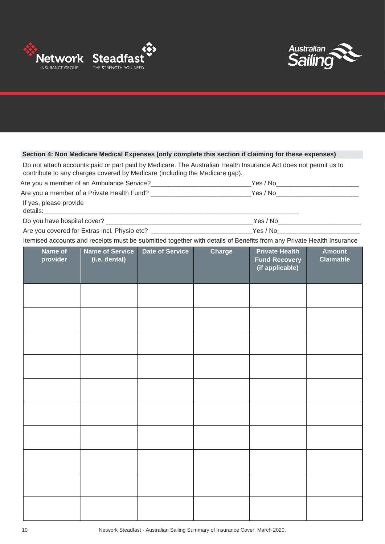



#### **Section 4: Non Medicare Medical Expenses (only complete this section if claiming for these expenses)**

Do not attach accounts paid or part paid by Medicare. The Australian Health Insurance Act does not permit us to contribute to any charges covered by Medicare (including the Medicare gap).

Are you a member of an Ambulance Service?\_\_\_\_\_\_\_\_\_\_\_\_\_\_\_\_\_\_\_\_\_\_\_\_\_\_\_\_\_\_\_Yes / No\_\_\_\_\_\_\_\_\_\_\_\_\_\_\_\_\_\_\_\_\_\_\_\_\_\_\_\_\_\_

Are you a member of a Private Health Fund? \_\_\_\_\_\_\_\_\_\_\_\_\_\_\_\_\_\_\_\_\_\_\_\_\_\_\_\_\_\_\_\_Yes / No\_\_\_\_\_\_\_\_\_\_\_\_\_\_\_\_\_\_\_\_\_\_\_\_\_\_\_

If yes, please provide

details:\_\_\_\_\_\_\_\_\_\_\_\_\_\_\_\_\_\_\_\_\_\_\_\_\_\_\_\_\_\_\_\_\_\_\_\_\_\_\_\_\_\_\_\_\_\_\_\_\_\_\_\_\_\_\_\_\_\_\_\_\_\_\_\_\_\_\_\_\_\_\_

Do you have hospital cover? \_\_\_\_\_\_\_\_\_\_\_\_\_\_\_\_\_\_\_\_\_\_\_\_\_\_\_\_\_\_\_\_\_\_\_\_\_\_\_\_\_Yes / No\_\_\_\_\_\_\_\_\_\_\_\_\_\_\_\_\_\_\_\_\_\_\_

Are you covered for Extras incl. Physio etc? \_\_\_\_\_\_\_\_\_\_\_\_\_\_\_\_\_\_\_\_\_\_\_\_\_\_\_\_\_\_\_\_Yes / No\_\_\_\_\_\_\_\_\_\_\_\_\_\_\_\_\_\_\_\_\_\_\_\_\_

Itemised accounts and receipts must be submitted together with details of Benefits from any Private Health Insurance

| Name of<br>provider | <b>Name of Service</b><br>(i.e. dental) | <b>Date of Service</b> | Charge | <b>Private Health</b><br><b>Fund Recovery</b><br>(if applicable) | <b>Amount</b><br><b>Claimable</b> |
|---------------------|-----------------------------------------|------------------------|--------|------------------------------------------------------------------|-----------------------------------|
|                     |                                         |                        |        |                                                                  |                                   |
|                     |                                         |                        |        |                                                                  |                                   |
|                     |                                         |                        |        |                                                                  |                                   |
|                     |                                         |                        |        |                                                                  |                                   |
|                     |                                         |                        |        |                                                                  |                                   |
|                     |                                         |                        |        |                                                                  |                                   |
|                     |                                         |                        |        |                                                                  |                                   |
|                     |                                         |                        |        |                                                                  |                                   |
|                     |                                         |                        |        |                                                                  |                                   |
|                     |                                         |                        |        |                                                                  |                                   |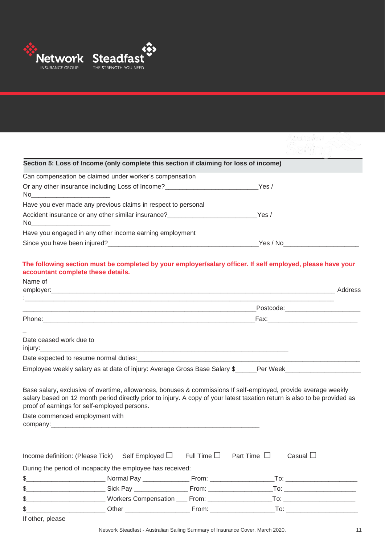

|                                | Section 5: Loss of Income (only complete this section if claiming for loss of income)                          |                      |                                                                                                                                                                                                                                             |  |
|--------------------------------|----------------------------------------------------------------------------------------------------------------|----------------------|---------------------------------------------------------------------------------------------------------------------------------------------------------------------------------------------------------------------------------------------|--|
|                                | Can compensation be claimed under worker's compensation                                                        |                      |                                                                                                                                                                                                                                             |  |
|                                | Or any other insurance including Loss of Income?________________________________Yes /                          |                      |                                                                                                                                                                                                                                             |  |
|                                | Have you ever made any previous claims in respect to personal                                                  |                      |                                                                                                                                                                                                                                             |  |
|                                | Accident insurance or any other similar insurance? _____________________________Yes /                          |                      |                                                                                                                                                                                                                                             |  |
|                                | Have you engaged in any other income earning employment                                                        |                      |                                                                                                                                                                                                                                             |  |
|                                |                                                                                                                |                      |                                                                                                                                                                                                                                             |  |
| Name of                        |                                                                                                                |                      |                                                                                                                                                                                                                                             |  |
|                                |                                                                                                                |                      |                                                                                                                                                                                                                                             |  |
|                                |                                                                                                                |                      |                                                                                                                                                                                                                                             |  |
| Date ceased work due to        |                                                                                                                |                      |                                                                                                                                                                                                                                             |  |
|                                |                                                                                                                |                      |                                                                                                                                                                                                                                             |  |
|                                |                                                                                                                |                      | Employee weekly salary as at date of injury: Average Gross Base Salary \$_____Per Week_____________________                                                                                                                                 |  |
|                                |                                                                                                                |                      |                                                                                                                                                                                                                                             |  |
|                                | proof of earnings for self-employed persons.                                                                   |                      | Base salary, exclusive of overtime, allowances, bonuses & commissions If self-employed, provide average weekly<br>salary based on 12 month period directly prior to injury. A copy of your latest taxation return is also to be provided as |  |
| Date commenced employment with | company: the company of the company of the company of the company of the company of the company of the company |                      |                                                                                                                                                                                                                                             |  |
|                                |                                                                                                                |                      |                                                                                                                                                                                                                                             |  |
|                                |                                                                                                                |                      |                                                                                                                                                                                                                                             |  |
|                                | Income definition: (Please Tick) Self Employed $\square$                                                       | Full Time $\square$  | Part Time $\Box$<br>Casual $\Box$                                                                                                                                                                                                           |  |
|                                | During the period of incapacity the employee has received:                                                     |                      |                                                                                                                                                                                                                                             |  |
| \$_                            |                                                                                                                |                      |                                                                                                                                                                                                                                             |  |
| \$                             |                                                                                                                |                      |                                                                                                                                                                                                                                             |  |
| \$                             |                                                                                                                |                      |                                                                                                                                                                                                                                             |  |
| \$                             |                                                                                                                | $From: ____________$ | To: _________________________                                                                                                                                                                                                               |  |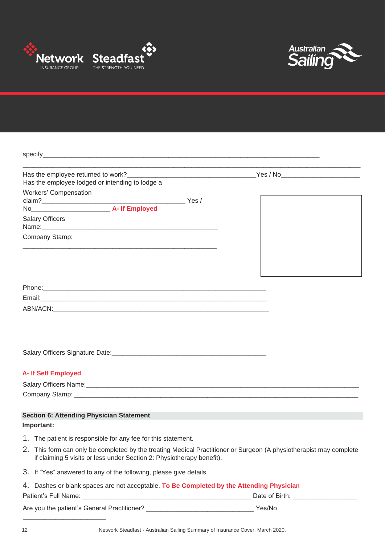



| Has the employee lodged or intending to lodge a                                                                                                                                             |  |
|---------------------------------------------------------------------------------------------------------------------------------------------------------------------------------------------|--|
| Workers' Compensation                                                                                                                                                                       |  |
|                                                                                                                                                                                             |  |
| No <b>A-If Employed</b>                                                                                                                                                                     |  |
| <b>Salary Officers</b>                                                                                                                                                                      |  |
| Company Stamp:                                                                                                                                                                              |  |
|                                                                                                                                                                                             |  |
|                                                                                                                                                                                             |  |
|                                                                                                                                                                                             |  |
|                                                                                                                                                                                             |  |
|                                                                                                                                                                                             |  |
|                                                                                                                                                                                             |  |
|                                                                                                                                                                                             |  |
|                                                                                                                                                                                             |  |
|                                                                                                                                                                                             |  |
| <b>A- If Self Employed</b>                                                                                                                                                                  |  |
|                                                                                                                                                                                             |  |
|                                                                                                                                                                                             |  |
|                                                                                                                                                                                             |  |
| <b>Section 6: Attending Physician Statement</b>                                                                                                                                             |  |
| Important:                                                                                                                                                                                  |  |
| 1. The patient is responsible for any fee for this statement.                                                                                                                               |  |
| 2. This form can only be completed by the treating Medical Practitioner or Surgeon (A physiotherapist may complete<br>if claiming 5 visits or less under Section 2: Physiotherapy benefit). |  |
| 3. If "Yes" answered to any of the following, please give details.                                                                                                                          |  |

| 4. Dashes or blank spaces are not acceptable. To Be Completed by the Attending Physician |                |
|------------------------------------------------------------------------------------------|----------------|
| Patient's Full Name:                                                                     | Date of Birth: |
|                                                                                          |                |

| Are you the patient's General Practitioner? | Yes/No |
|---------------------------------------------|--------|
|                                             |        |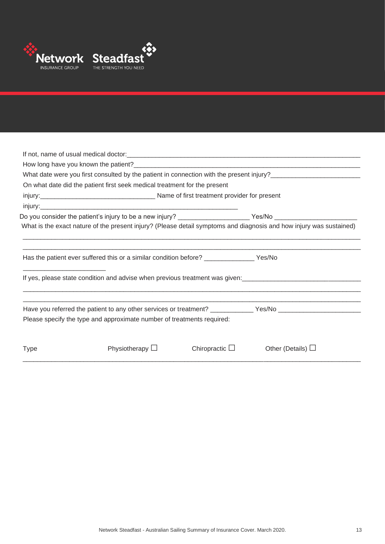

|             |                                                                                          |                     | What date were you first consulted by the patient in connection with the present injury?<br>What date were you first consulted by the patient in connection with the present injury?                                                       |
|-------------|------------------------------------------------------------------------------------------|---------------------|--------------------------------------------------------------------------------------------------------------------------------------------------------------------------------------------------------------------------------------------|
|             | On what date did the patient first seek medical treatment for the present                |                     |                                                                                                                                                                                                                                            |
|             |                                                                                          |                     |                                                                                                                                                                                                                                            |
|             |                                                                                          |                     |                                                                                                                                                                                                                                            |
|             |                                                                                          |                     | Do you consider the patient's injury to be a new injury? ______________________Yes/No ________________________                                                                                                                             |
|             |                                                                                          |                     | What is the exact nature of the present injury? (Please detail symptoms and diagnosis and how injury was sustained)                                                                                                                        |
|             | Has the patient ever suffered this or a similar condition before? _______________ Yes/No |                     |                                                                                                                                                                                                                                            |
|             |                                                                                          |                     | If yes, please state condition and advise when previous treatment was given:<br>Significant was given:<br>The management was given:<br>The management was given:<br>The management was given:<br>The management was given:<br>The manageme |
|             |                                                                                          |                     | Have you referred the patient to any other services or treatment? _____________Yes/No ________________________                                                                                                                             |
|             | Please specify the type and approximate number of treatments required:                   |                     |                                                                                                                                                                                                                                            |
| <b>Type</b> | Physiotherapy $\Box$                                                                     | Chiropractic $\Box$ | Other (Details) $\Box$                                                                                                                                                                                                                     |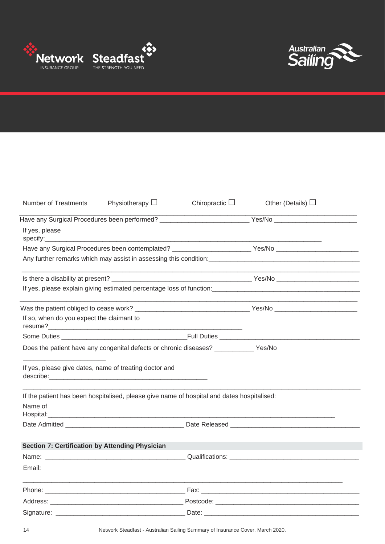



| Number of Treatments                                   | Physiotherapy $\Box$                                                                       | Chiropractic $\Box$ | Other (Details) $\Box$                                                                                         |
|--------------------------------------------------------|--------------------------------------------------------------------------------------------|---------------------|----------------------------------------------------------------------------------------------------------------|
|                                                        |                                                                                            |                     | Have any Surgical Procedures been performed? ___________________________________Yes/No _______________________ |
| If yes, please                                         |                                                                                            |                     |                                                                                                                |
|                                                        |                                                                                            |                     | Have any Surgical Procedures been contemplated? ____________________________Yes/No ___________________________ |
|                                                        |                                                                                            |                     |                                                                                                                |
|                                                        |                                                                                            |                     |                                                                                                                |
|                                                        |                                                                                            |                     |                                                                                                                |
|                                                        |                                                                                            |                     |                                                                                                                |
| If so, when do you expect the claimant to              |                                                                                            |                     |                                                                                                                |
|                                                        |                                                                                            |                     |                                                                                                                |
|                                                        | Does the patient have any congenital defects or chronic diseases? ____________ Yes/No      |                     |                                                                                                                |
|                                                        | If yes, please give dates, name of treating doctor and                                     |                     |                                                                                                                |
| Name of<br>Hospital:                                   | If the patient has been hospitalised, please give name of hospital and dates hospitalised: |                     |                                                                                                                |
|                                                        |                                                                                            |                     |                                                                                                                |
| <b>Section 7: Certification by Attending Physician</b> |                                                                                            |                     |                                                                                                                |
|                                                        |                                                                                            |                     |                                                                                                                |
| Email:                                                 |                                                                                            |                     |                                                                                                                |
|                                                        |                                                                                            |                     |                                                                                                                |
|                                                        |                                                                                            |                     |                                                                                                                |
|                                                        |                                                                                            |                     |                                                                                                                |

14 Network Steadfast - Australian Sailing Summary of Insurance Cover. March 2020.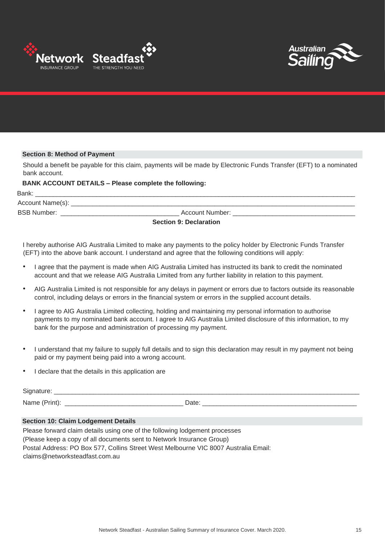



#### **Section 8: Method of Payment**

Should a benefit be payable for this claim, payments will be made by Electronic Funds Transfer (EFT) to a nominated bank account.

#### **BANK ACCOUNT DETAILS – Please complete the following:**

| Bank:              |                               |  |
|--------------------|-------------------------------|--|
| Account Name(s):   |                               |  |
| <b>BSB Number:</b> | Account Number:               |  |
|                    | <b>Section 9: Declaration</b> |  |

I hereby authorise AIG Australia Limited to make any payments to the policy holder by Electronic Funds Transfer (EFT) into the above bank account. I understand and agree that the following conditions will apply:

- I agree that the payment is made when AIG Australia Limited has instructed its bank to credit the nominated account and that we release AIG Australia Limited from any further liability in relation to this payment.
- AIG Australia Limited is not responsible for any delays in payment or errors due to factors outside its reasonable control, including delays or errors in the financial system or errors in the supplied account details.
- I agree to AIG Australia Limited collecting, holding and maintaining my personal information to authorise payments to my nominated bank account. I agree to AIG Australia Limited disclosure of this information, to my bank for the purpose and administration of processing my payment.
- I understand that my failure to supply full details and to sign this declaration may result in my payment not being paid or my payment being paid into a wrong account.
- I declare that the details in this application are

| $\overline{\phantom{0}}$<br>$\cdots$<br>__ |      |
|--------------------------------------------|------|
| N.                                         | _    |
| .                                          | ,,   |
|                                            | Dais |

#### **Section 10: Claim Lodgement Details**

Please forward claim details using one of the following lodgement processes (Please keep a copy of all documents sent to Network Insurance Group) Postal Address: PO Box 577, Collins Street West Melbourne VIC 8007 Australia Email: claims@networksteadfast.com.au